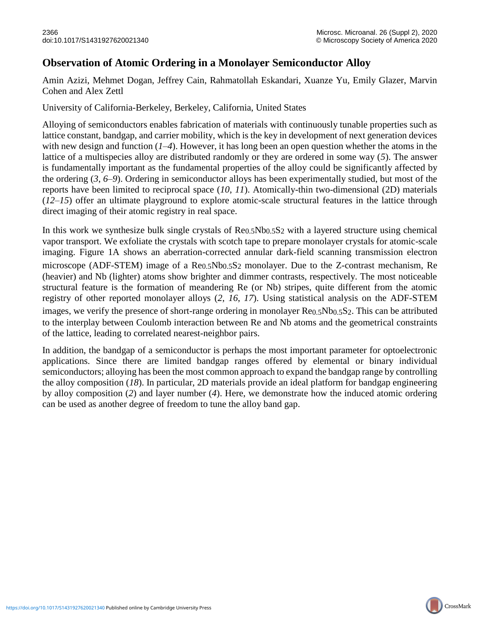## **Observation of Atomic Ordering in a Monolayer Semiconductor Alloy**

Amin Azizi, Mehmet Dogan, Jeffrey Cain, Rahmatollah Eskandari, Xuanze Yu, Emily Glazer, Marvin Cohen and Alex Zettl

University of California-Berkeley, Berkeley, California, United States

Alloying of semiconductors enables fabrication of materials with continuously tunable properties such as lattice constant, bandgap, and carrier mobility, which is the key in development of next generation devices with new design and function (*1*–*4*). However, it has long been an open question whether the atoms in the lattice of a multispecies alloy are distributed randomly or they are ordered in some way (*5*). The answer is fundamentally important as the fundamental properties of the alloy could be significantly affected by the ordering (*3*, *6*–*9*). Ordering in semiconductor alloys has been experimentally studied, but most of the reports have been limited to reciprocal space (*10*, *11*). Atomically-thin two-dimensional (2D) materials (*12*–*15*) offer an ultimate playground to explore atomic-scale structural features in the lattice through direct imaging of their atomic registry in real space.

In this work we synthesize bulk single crystals of Re0.5Nb0.5S2 with a layered structure using chemical vapor transport. We exfoliate the crystals with scotch tape to prepare monolayer crystals for atomic-scale imaging. Figure 1A shows an aberration-corrected annular dark-field scanning transmission electron microscope (ADF-STEM) image of a Re<sub>0.5</sub>Nb<sub>0.5</sub>S<sub>2</sub> monolayer. Due to the Z-contrast mechanism, Re (heavier) and Nb (lighter) atoms show brighter and dimmer contrasts, respectively. The most noticeable structural feature is the formation of meandering Re (or Nb) stripes, quite different from the atomic registry of other reported monolayer alloys (*2*, *16*, *17*). Using statistical analysis on the ADF-STEM images, we verify the presence of short-range ordering in monolayer Re0.5Nb0.5S2. This can be attributed to the interplay between Coulomb interaction between Re and Nb atoms and the geometrical constraints of the lattice, leading to correlated nearest-neighbor pairs.

In addition, the bandgap of a semiconductor is perhaps the most important parameter for optoelectronic applications. Since there are limited bandgap ranges offered by elemental or binary individual semiconductors; alloying has been the most common approach to expand the bandgap range by controlling the alloy composition (*18*). In particular, 2D materials provide an ideal platform for bandgap engineering by alloy composition (*2*) and layer number (*4*). Here, we demonstrate how the induced atomic ordering can be used as another degree of freedom to tune the alloy band gap.